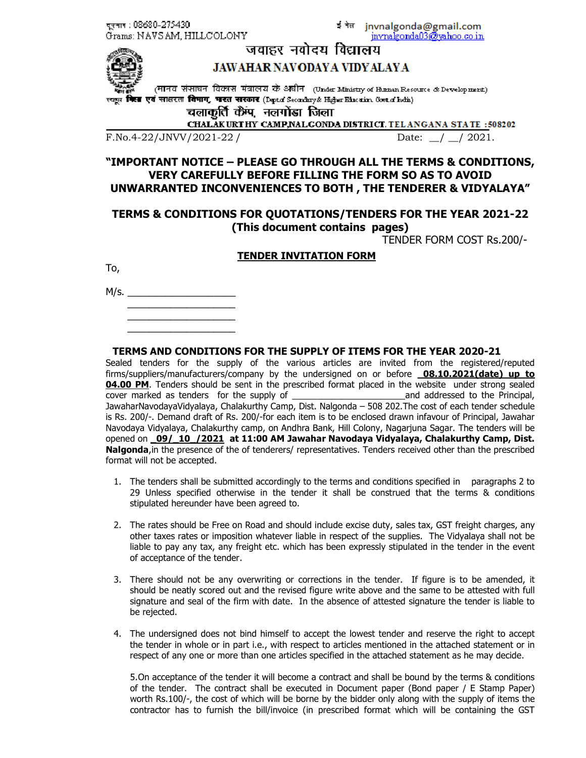दुरुमाद : 08680-275430 Grams: NAVSAM, HILLCOLONY इंकेल jnvnalgonda@gmail.com invnalgonda03@yahoo.co.in



# जवाहर नवोदय विद्यालय **JAWAHAR NAVODAYA VIDYALAYA**

(मानव संसाधन विकास मंत्रालय के अधीन) (Under Ministry of Human Resource & Development) किस एवं साक्षरता विमाग, भारत सरकार (Deptd Secondary& Higher Education Goot of India)

चलाकृतिं कैंप, नलगोंडा जिला

CHALAKURTHY CAMP, NALGONDA DISTRICT. TELANGANA STATE: : 508202

F.No.4-22/JNVV/2021-22 / Date:  $\angle$  2021.

# **"IMPORTANT NOTICE – PLEASE GO THROUGH ALL THE TERMS & CONDITIONS, VERY CAREFULLY BEFORE FILLING THE FORM SO AS TO AVOID UNWARRANTED INCONVENIENCES TO BOTH , THE TENDERER & VIDYALAYA"**

## **TERMS & CONDITIONS FOR QUOTATIONS/TENDERS FOR THE YEAR 2021-22 (This document contains pages)**

TENDER FORM COST Rs.200/-

### **TENDER INVITATION FORM**

To,

M/s. \_\_\_\_\_\_\_\_\_\_\_\_\_\_\_\_\_\_\_\_  $\frac{1}{2}$  ,  $\frac{1}{2}$  ,  $\frac{1}{2}$  ,  $\frac{1}{2}$  ,  $\frac{1}{2}$  ,  $\frac{1}{2}$  ,  $\frac{1}{2}$  ,  $\frac{1}{2}$  ,  $\frac{1}{2}$  ,  $\frac{1}{2}$  ,  $\frac{1}{2}$  ,  $\frac{1}{2}$  ,  $\frac{1}{2}$  ,  $\frac{1}{2}$  ,  $\frac{1}{2}$  ,  $\frac{1}{2}$  ,  $\frac{1}{2}$  ,  $\frac{1}{2}$  ,  $\frac{1$ 

 $\overline{\phantom{a}}$  , and the set of the set of the set of the set of the set of the set of the set of the set of the set of the set of the set of the set of the set of the set of the set of the set of the set of the set of the s  $\overline{\phantom{a}}$  , and the set of the set of the set of the set of the set of the set of the set of the set of the set of the set of the set of the set of the set of the set of the set of the set of the set of the set of the s

**TERMS AND CONDITIONS FOR THE SUPPLY OF ITEMS FOR THE YEAR 2020-21** 

Sealed tenders for the supply of the various articles are invited from the registered/reputed firms/suppliers/manufacturers/company by the undersigned on or before **\_08.10.2021(date) up to 04.00 PM**. Tenders should be sent in the prescribed format placed in the website under strong sealed cover marked as tenders for the supply of \_\_\_\_\_\_\_\_\_\_\_\_\_\_\_\_\_\_\_\_\_\_\_and addressed to the Principal, JawaharNavodayaVidyalaya, Chalakurthy Camp, Dist. Nalgonda – 508 202.The cost of each tender schedule is Rs. 200/-. Demand draft of Rs. 200/-for each item is to be enclosed drawn infavour of Principal, Jawahar Navodaya Vidyalaya, Chalakurthy camp, on Andhra Bank, Hill Colony, Nagarjuna Sagar. The tenders will be opened on **\_09/\_10\_/2021 at 11:00 AM Jawahar Navodaya Vidyalaya, Chalakurthy Camp, Dist. Nalgonda**, in the presence of the of tenderers/ representatives. Tenders received other than the prescribed format will not be accepted.

- 1. The tenders shall be submitted accordingly to the terms and conditions specified in paragraphs 2 to 29 Unless specified otherwise in the tender it shall be construed that the terms & conditions stipulated hereunder have been agreed to.
- 2. The rates should be Free on Road and should include excise duty, sales tax, GST freight charges, any other taxes rates or imposition whatever liable in respect of the supplies. The Vidyalaya shall not be liable to pay any tax, any freight etc. which has been expressly stipulated in the tender in the event of acceptance of the tender.
- 3. There should not be any overwriting or corrections in the tender. If figure is to be amended, it should be neatly scored out and the revised figure write above and the same to be attested with full signature and seal of the firm with date. In the absence of attested signature the tender is liable to be rejected.
- 4. The undersigned does not bind himself to accept the lowest tender and reserve the right to accept the tender in whole or in part i.e., with respect to articles mentioned in the attached statement or in respect of any one or more than one articles specified in the attached statement as he may decide.

5.On acceptance of the tender it will become a contract and shall be bound by the terms & conditions of the tender. The contract shall be executed in Document paper (Bond paper / E Stamp Paper) worth Rs.100/-, the cost of which will be borne by the bidder only along with the supply of items the contractor has to furnish the bill/invoice (in prescribed format which will be containing the GST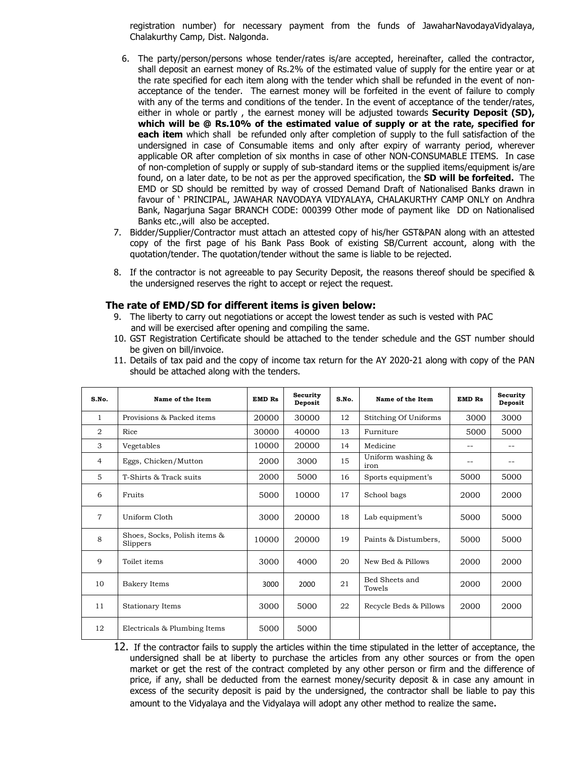registration number) for necessary payment from the funds of JawaharNavodayaVidyalaya, Chalakurthy Camp, Dist. Nalgonda.

- 6. The party/person/persons whose tender/rates is/are accepted, hereinafter, called the contractor, shall deposit an earnest money of Rs.2% of the estimated value of supply for the entire year or at the rate specified for each item along with the tender which shall be refunded in the event of nonacceptance of the tender. The earnest money will be forfeited in the event of failure to comply with any of the terms and conditions of the tender. In the event of acceptance of the tender/rates, either in whole or partly , the earnest money will be adjusted towards **Security Deposit (SD), which will be @ Rs.10% of the estimated value of supply or at the rate, specified for each item** which shall be refunded only after completion of supply to the full satisfaction of the undersigned in case of Consumable items and only after expiry of warranty period, wherever applicable OR after completion of six months in case of other NON-CONSUMABLE ITEMS. In case of non-completion of supply or supply of sub-standard items or the supplied items/equipment is/are found, on a later date, to be not as per the approved specification, the **SD will be forfeited.** The EMD or SD should be remitted by way of crossed Demand Draft of Nationalised Banks drawn in favour of ' PRINCIPAL, JAWAHAR NAVODAYA VIDYALAYA, CHALAKURTHY CAMP ONLY on Andhra Bank, Nagarjuna Sagar BRANCH CODE: 000399 Other mode of payment like DD on Nationalised Banks etc.,will also be accepted.
- 7. Bidder/Supplier/Contractor must attach an attested copy of his/her GST&PAN along with an attested copy of the first page of his Bank Pass Book of existing SB/Current account, along with the quotation/tender. The quotation/tender without the same is liable to be rejected.
- 8. If the contractor is not agreeable to pay Security Deposit, the reasons thereof should be specified & the undersigned reserves the right to accept or reject the request.

#### **The rate of EMD/SD for different items is given below:**

- 9. The liberty to carry out negotiations or accept the lowest tender as such is vested with PAC and will be exercised after opening and compiling the same.
- 10. GST Registration Certificate should be attached to the tender schedule and the GST number should be given on bill/invoice.

| 11. Details of tax paid and the copy of income tax return for the AY 2020-21 along with copy of the PAN |  |  |  |
|---------------------------------------------------------------------------------------------------------|--|--|--|
| should be attached along with the tenders.                                                              |  |  |  |
|                                                                                                         |  |  |  |

| S.No.        | Name of the Item                         | <b>EMD Rs</b> | Security<br>Deposit | S.No. | Name of the Item          | <b>EMD Rs</b> | Security<br>Deposit |
|--------------|------------------------------------------|---------------|---------------------|-------|---------------------------|---------------|---------------------|
| $\mathbf{1}$ | Provisions & Packed items                | 20000         | 30000               | 12    | Stitching Of Uniforms     | 3000          | 3000                |
| 2            | Rice                                     | 30000         | 40000               | 13    | Furniture                 | 5000          | 5000                |
| 3            | Vegetables                               | 10000         | 20000               | 14    | Medicine                  | --            | $- -$               |
| 4            | Eggs, Chicken/Mutton                     | 2000          | 3000                | 15    | Uniform washing &<br>iron | --            | --                  |
| 5            | T-Shirts & Track suits                   | 2000          | 5000                | 16    | Sports equipment's        | 5000          | 5000                |
| 6            | Fruits                                   | 5000          | 10000               | 17    | School bags               | 2000          | 2000                |
| 7            | Uniform Cloth                            | 3000          | 20000               | 18    | Lab equipment's           | 5000          | 5000                |
| 8            | Shoes, Socks, Polish items &<br>Slippers | 10000         | 20000               | 19    | Paints & Distumbers.      | 5000          | 5000                |
| 9            | Toilet items                             | 3000          | 4000                | 20    | New Bed & Pillows         | 2000          | 2000                |
| 10           | Bakery Items                             | 3000          | 2000                | 21    | Bed Sheets and<br>Towels  | 2000          | 2000                |
| 11           | <b>Stationary Items</b>                  | 3000          | 5000                | 22    | Recycle Beds & Pillows    | 2000          | 2000                |
| 12           | Electricals & Plumbing Items             | 5000          | 5000                |       |                           |               |                     |

12. If the contractor fails to supply the articles within the time stipulated in the letter of acceptance, the undersigned shall be at liberty to purchase the articles from any other sources or from the open market or get the rest of the contract completed by any other person or firm and the difference of price, if any, shall be deducted from the earnest money/security deposit & in case any amount in excess of the security deposit is paid by the undersigned, the contractor shall be liable to pay this amount to the Vidyalaya and the Vidyalaya will adopt any other method to realize the same.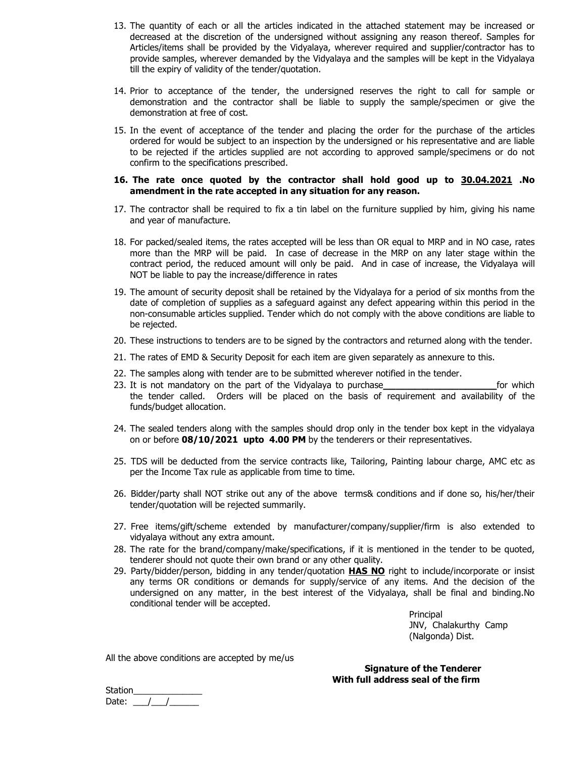- 13. The quantity of each or all the articles indicated in the attached statement may be increased or decreased at the discretion of the undersigned without assigning any reason thereof. Samples for Articles/items shall be provided by the Vidyalaya, wherever required and supplier/contractor has to provide samples, wherever demanded by the Vidyalaya and the samples will be kept in the Vidyalaya till the expiry of validity of the tender/quotation.
- 14. Prior to acceptance of the tender, the undersigned reserves the right to call for sample or demonstration and the contractor shall be liable to supply the sample/specimen or give the demonstration at free of cost.
- 15. In the event of acceptance of the tender and placing the order for the purchase of the articles ordered for would be subject to an inspection by the undersigned or his representative and are liable to be rejected if the articles supplied are not according to approved sample/specimens or do not confirm to the specifications prescribed.

#### **16. The rate once quoted by the contractor shall hold good up to 30.04.2021 .No amendment in the rate accepted in any situation for any reason.**

- 17. The contractor shall be required to fix a tin label on the furniture supplied by him, giving his name and year of manufacture.
- 18. For packed/sealed items, the rates accepted will be less than OR equal to MRP and in NO case, rates more than the MRP will be paid. In case of decrease in the MRP on any later stage within the contract period, the reduced amount will only be paid. And in case of increase, the Vidyalaya will NOT be liable to pay the increase/difference in rates
- 19. The amount of security deposit shall be retained by the Vidyalaya for a period of six months from the date of completion of supplies as a safeguard against any defect appearing within this period in the non-consumable articles supplied. Tender which do not comply with the above conditions are liable to be rejected.
- 20. These instructions to tenders are to be signed by the contractors and returned along with the tender.
- 21. The rates of EMD & Security Deposit for each item are given separately as annexure to this.
- 22. The samples along with tender are to be submitted wherever notified in the tender.
- 23. It is not mandatory on the part of the Vidyalaya to purchase **the contract of the Vidyalaya** to purchase the tender called. Orders will be placed on the basis of requirement and availability of the funds/budget allocation.
- 24. The sealed tenders along with the samples should drop only in the tender box kept in the vidyalaya on or before **08/10/2021 upto 4.00 PM** by the tenderers or their representatives.
- 25. TDS will be deducted from the service contracts like, Tailoring, Painting labour charge, AMC etc as per the Income Tax rule as applicable from time to time.
- 26. Bidder/party shall NOT strike out any of the above terms& conditions and if done so, his/her/their tender/quotation will be rejected summarily.
- 27. Free items/gift/scheme extended by manufacturer/company/supplier/firm is also extended to vidyalaya without any extra amount.
- 28. The rate for the brand/company/make/specifications, if it is mentioned in the tender to be quoted, tenderer should not quote their own brand or any other quality.
- 29. Party/bidder/person, bidding in any tender/quotation **HAS NO** right to include/incorporate or insist any terms OR conditions or demands for supply/service of any items. And the decision of the undersigned on any matter, in the best interest of the Vidyalaya, shall be final and binding.No conditional tender will be accepted.

Principal JNV, Chalakurthy Camp (Nalgonda) Dist.

All the above conditions are accepted by me/us

**Signature of the Tenderer With full address seal of the firm** 

Station Date:  $\frac{1}{1}$